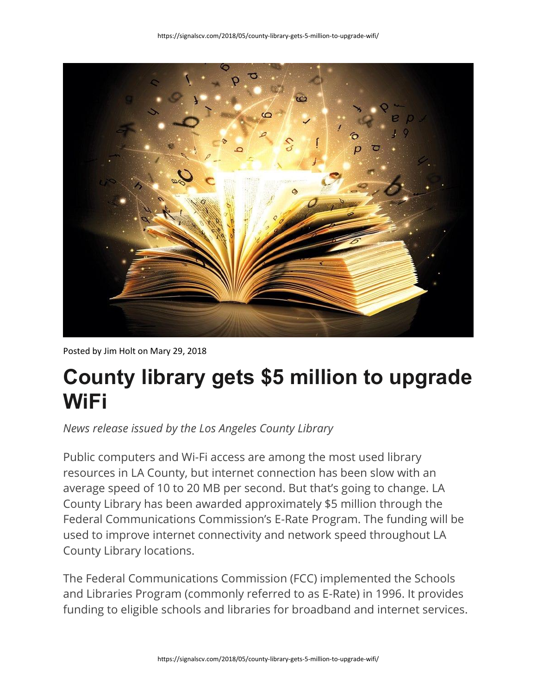

Posted by Jim Holt on Mary 29, 2018

## **County library gets \$5 million to upgrade WiFi**

*News release issued by the Los Angeles County Library*

Public computers and Wi-Fi access are among the most used library resources in LA County, but internet connection has been slow with an average speed of 10 to 20 MB per second. But that's going to change. LA County Library has been awarded approximately \$5 million through the Federal Communications Commission's E-Rate Program. The funding will be used to improve internet connectivity and network speed throughout LA County Library locations.

The Federal Communications Commission (FCC) implemented the Schools and Libraries Program (commonly referred to as E-Rate) in 1996. It provides funding to eligible schools and libraries for broadband and internet services.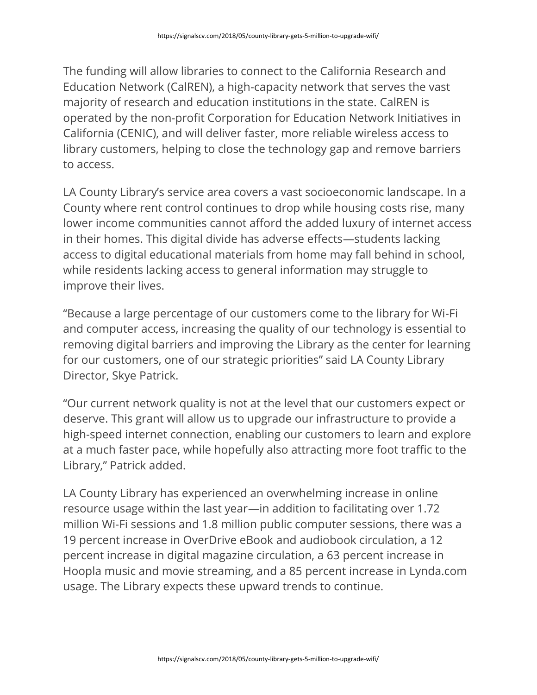The funding will allow libraries to connect to the California Research and Education Network (CalREN), a high-capacity network that serves the vast majority of research and education institutions in the state. CalREN is operated by the non-profit Corporation for Education Network Initiatives in California (CENIC), and will deliver faster, more reliable wireless access to library customers, helping to close the technology gap and remove barriers to access.

LA County Library's service area covers a vast socioeconomic landscape. In a County where rent control continues to drop while housing costs rise, many lower income communities cannot afford the added luxury of internet access in their homes. This digital divide has adverse effects—students lacking access to digital educational materials from home may fall behind in school, while residents lacking access to general information may struggle to improve their lives.

"Because a large percentage of our customers come to the library for Wi-Fi and computer access, increasing the quality of our technology is essential to removing digital barriers and improving the Library as the center for learning for our customers, one of our strategic priorities" said LA County Library Director, Skye Patrick.

"Our current network quality is not at the level that our customers expect or deserve. This grant will allow us to upgrade our infrastructure to provide a high-speed internet connection, enabling our customers to learn and explore at a much faster pace, while hopefully also attracting more foot traffic to the Library," Patrick added.

LA County Library has experienced an overwhelming increase in online resource usage within the last year—in addition to facilitating over 1.72 million Wi-Fi sessions and 1.8 million public computer sessions, there was a 19 percent increase in OverDrive eBook and audiobook circulation, a 12 percent increase in digital magazine circulation, a 63 percent increase in Hoopla music and movie streaming, and a 85 percent increase in Lynda.com usage. The Library expects these upward trends to continue.